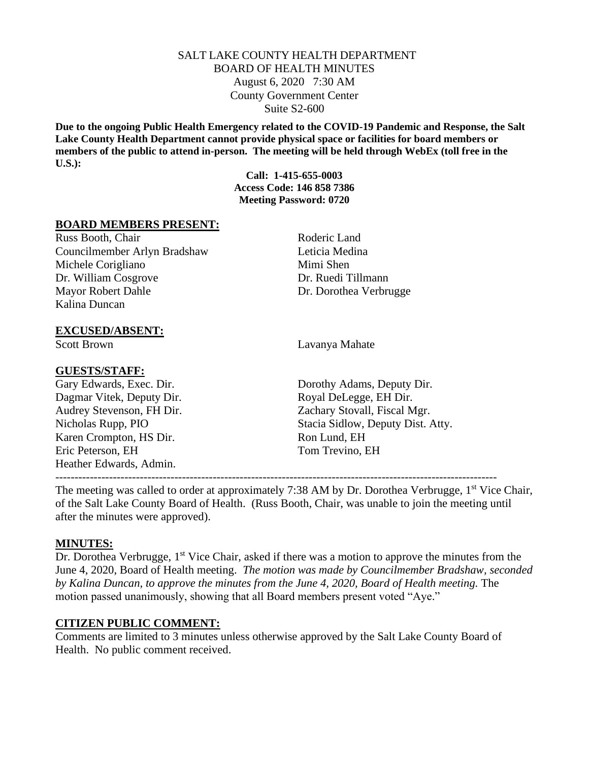## SALT LAKE COUNTY HEALTH DEPARTMENT BOARD OF HEALTH MINUTES August 6, 2020 7:30 AM County Government Center Suite S2-600

**Due to the ongoing Public Health Emergency related to the COVID-19 Pandemic and Response, the Salt Lake County Health Department cannot provide physical space or facilities for board members or members of the public to attend in-person. The meeting will be held through WebEx (toll free in the U.S.):**

> **Call: 1-415-655-0003 Access Code: 146 858 7386 Meeting Password: 0720**

### **BOARD MEMBERS PRESENT:**

Russ Booth, Chair Roderic Land Councilmember Arlyn Bradshaw Leticia Medina Michele Corigliano Mimi Shen Dr. William Cosgrove Dr. Ruedi Tillmann Mayor Robert Dahle Dr. Dorothea Verbrugge Kalina Duncan

### **EXCUSED/ABSENT:**

### **GUESTS/STAFF:**

Dagmar Vitek, Deputy Dir. Royal DeLegge, EH Dir. Karen Crompton, HS Dir. Ron Lund, EH Eric Peterson, EH Tom Trevino, EH Heather Edwards, Admin.

Scott Brown Lavanya Mahate

Gary Edwards, Exec. Dir. Dorothy Adams, Deputy Dir. Audrey Stevenson, FH Dir. Zachary Stovall, Fiscal Mgr. Nicholas Rupp, PIO Stacia Sidlow, Deputy Dist. Atty.

-------------------------------------------------------------------------------------------------------------------

The meeting was called to order at approximately 7:38 AM by Dr. Dorothea Verbrugge, 1<sup>st</sup> Vice Chair, of the Salt Lake County Board of Health. (Russ Booth, Chair, was unable to join the meeting until after the minutes were approved).

#### **MINUTES:**

Dr. Dorothea Verbrugge, 1<sup>st</sup> Vice Chair, asked if there was a motion to approve the minutes from the June 4, 2020, Board of Health meeting. *The motion was made by Councilmember Bradshaw, seconded by Kalina Duncan, to approve the minutes from the June 4, 2020, Board of Health meeting.* The motion passed unanimously, showing that all Board members present voted "Aye."

### **CITIZEN PUBLIC COMMENT:**

Comments are limited to 3 minutes unless otherwise approved by the Salt Lake County Board of Health. No public comment received.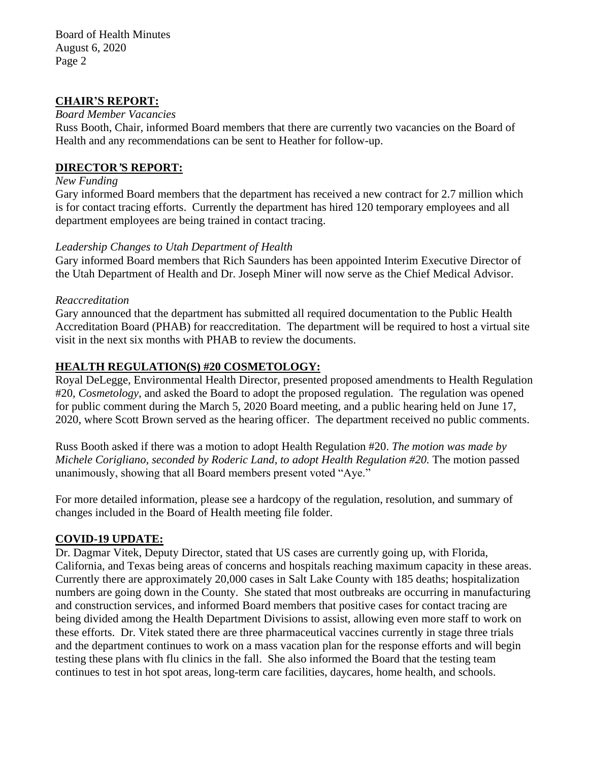Board of Health Minutes August 6, 2020 Page 2

## **CHAIR'S REPORT:**

### *Board Member Vacancies*

Russ Booth, Chair, informed Board members that there are currently two vacancies on the Board of Health and any recommendations can be sent to Heather for follow-up.

## **DIRECTOR***'***S REPORT:**

### *New Funding*

Gary informed Board members that the department has received a new contract for 2.7 million which is for contact tracing efforts. Currently the department has hired 120 temporary employees and all department employees are being trained in contact tracing.

## *Leadership Changes to Utah Department of Health*

Gary informed Board members that Rich Saunders has been appointed Interim Executive Director of the Utah Department of Health and Dr. Joseph Miner will now serve as the Chief Medical Advisor.

### *Reaccreditation*

Gary announced that the department has submitted all required documentation to the Public Health Accreditation Board (PHAB) for reaccreditation. The department will be required to host a virtual site visit in the next six months with PHAB to review the documents.

## **HEALTH REGULATION(S) #20 COSMETOLOGY:**

Royal DeLegge, Environmental Health Director, presented proposed amendments to Health Regulation #20, *Cosmetology,* and asked the Board to adopt the proposed regulation. The regulation was opened for public comment during the March 5, 2020 Board meeting, and a public hearing held on June 17, 2020, where Scott Brown served as the hearing officer. The department received no public comments.

Russ Booth asked if there was a motion to adopt Health Regulation #20. *The motion was made by Michele Corigliano, seconded by Roderic Land, to adopt Health Regulation #20.* The motion passed unanimously, showing that all Board members present voted "Aye."

For more detailed information, please see a hardcopy of the regulation, resolution, and summary of changes included in the Board of Health meeting file folder.

## **COVID-19 UPDATE:**

Dr. Dagmar Vitek, Deputy Director, stated that US cases are currently going up, with Florida, California, and Texas being areas of concerns and hospitals reaching maximum capacity in these areas. Currently there are approximately 20,000 cases in Salt Lake County with 185 deaths; hospitalization numbers are going down in the County. She stated that most outbreaks are occurring in manufacturing and construction services, and informed Board members that positive cases for contact tracing are being divided among the Health Department Divisions to assist, allowing even more staff to work on these efforts. Dr. Vitek stated there are three pharmaceutical vaccines currently in stage three trials and the department continues to work on a mass vacation plan for the response efforts and will begin testing these plans with flu clinics in the fall. She also informed the Board that the testing team continues to test in hot spot areas, long-term care facilities, daycares, home health, and schools.